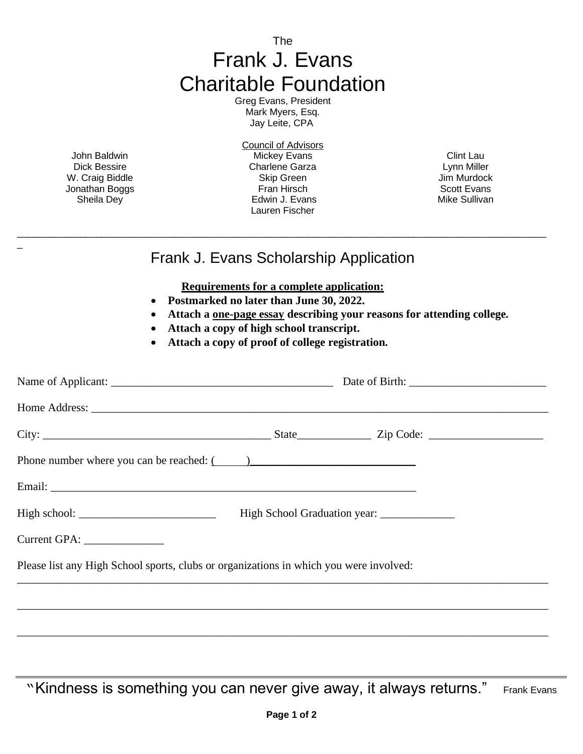The Frank J. Evans Charitable Foundation

Greg Evans, President Mark Myers, Esq. Jay Leite, CPA

John Baldwin Dick Bessire W. Craig Biddle Jonathan Boggs Sheila Dey

\_

Council of Advisors Mickey Evans Charlene Garza Skip Green Fran Hirsch Edwin J. Evans Lauren Fischer

Clint Lau Lynn Miller Jim Murdock Scott Evans Mike Sullivan

## Frank J. Evans Scholarship Application

\_\_\_\_\_\_\_\_\_\_\_\_\_\_\_\_\_\_\_\_\_\_\_\_\_\_\_\_\_\_\_\_\_\_\_\_\_\_\_\_\_\_\_\_\_\_\_\_\_\_\_\_\_\_\_\_\_\_\_\_\_\_\_\_\_\_\_\_\_\_\_\_\_\_\_\_\_\_\_\_\_\_\_\_\_\_\_\_\_\_\_\_\_\_\_\_\_\_\_\_

**Requirements for a complete application:**

- **Postmarked no later than June 30, 2022.**
- **Attach a one-page essay describing your reasons for attending college.**
- **Attach a copy of high school transcript.**
- **Attach a copy of proof of college registration.**

| Phone number where you can be reached: ()                                              |  |  |  |
|----------------------------------------------------------------------------------------|--|--|--|
|                                                                                        |  |  |  |
|                                                                                        |  |  |  |
| Current GPA: ________________                                                          |  |  |  |
| Please list any High School sports, clubs or organizations in which you were involved: |  |  |  |
|                                                                                        |  |  |  |
|                                                                                        |  |  |  |

"Kindness is something you can never give away, it always returns." Frank Evans

\_\_\_\_\_\_\_\_\_\_\_\_\_\_\_\_\_\_\_\_\_\_\_\_\_\_\_\_\_\_\_\_\_\_\_\_\_\_\_\_\_\_\_\_\_\_\_\_\_\_\_\_\_\_\_\_\_\_\_\_\_\_\_\_\_\_\_\_\_\_\_\_\_\_\_\_\_\_\_\_\_\_\_\_\_\_\_\_\_\_\_\_\_